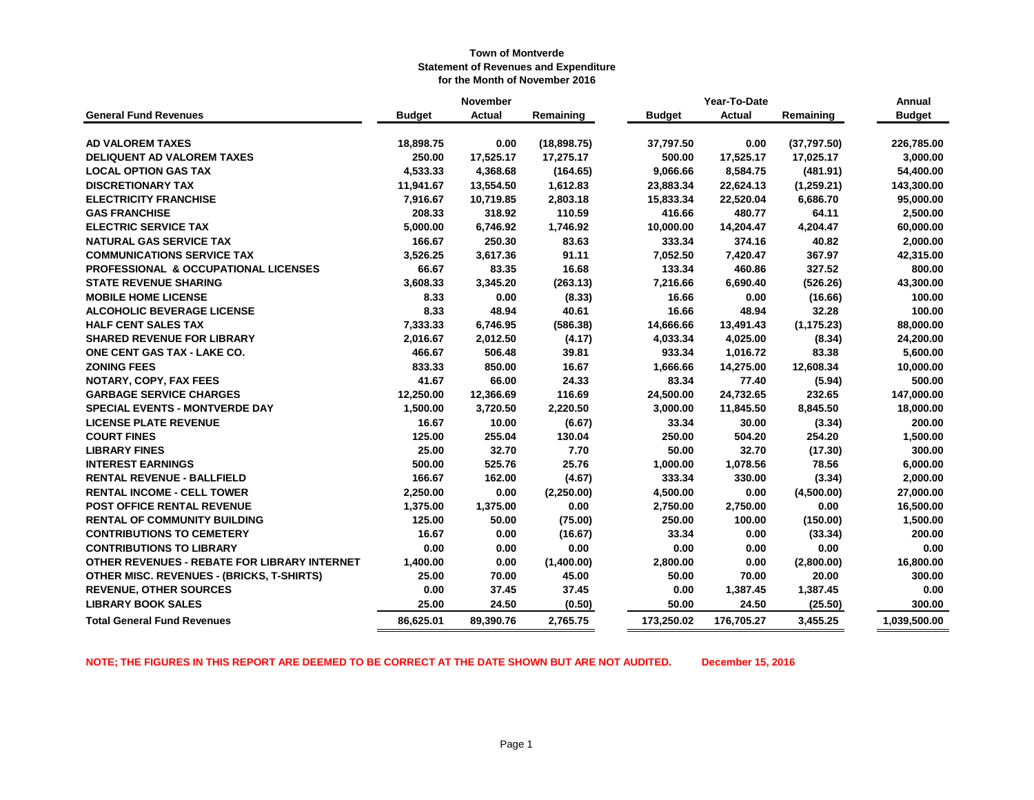|                                                  |               | November      |             | Year-To-Date  |               |             | Annual        |
|--------------------------------------------------|---------------|---------------|-------------|---------------|---------------|-------------|---------------|
| <b>General Fund Revenues</b>                     | <b>Budget</b> | <b>Actual</b> | Remaining   | <b>Budget</b> | <b>Actual</b> | Remaining   | <b>Budget</b> |
|                                                  |               |               |             |               |               |             |               |
| <b>AD VALOREM TAXES</b>                          | 18,898.75     | 0.00          | (18,898.75) | 37,797.50     | 0.00          | (37,797.50) | 226,785.00    |
| <b>DELIQUENT AD VALOREM TAXES</b>                | 250.00        | 17,525.17     | 17,275.17   | 500.00        | 17,525.17     | 17,025.17   | 3,000.00      |
| <b>LOCAL OPTION GAS TAX</b>                      | 4,533.33      | 4,368.68      | (164.65)    | 9,066.66      | 8,584.75      | (481.91)    | 54,400.00     |
| <b>DISCRETIONARY TAX</b>                         | 11,941.67     | 13,554.50     | 1,612.83    | 23,883.34     | 22,624.13     | (1,259.21)  | 143,300.00    |
| <b>ELECTRICITY FRANCHISE</b>                     | 7,916.67      | 10,719.85     | 2,803.18    | 15,833.34     | 22,520.04     | 6,686.70    | 95,000.00     |
| <b>GAS FRANCHISE</b>                             | 208.33        | 318.92        | 110.59      | 416.66        | 480.77        | 64.11       | 2,500.00      |
| <b>ELECTRIC SERVICE TAX</b>                      | 5,000.00      | 6,746.92      | 1,746.92    | 10,000.00     | 14,204.47     | 4,204.47    | 60,000.00     |
| <b>NATURAL GAS SERVICE TAX</b>                   | 166.67        | 250.30        | 83.63       | 333.34        | 374.16        | 40.82       | 2,000.00      |
| <b>COMMUNICATIONS SERVICE TAX</b>                | 3,526.25      | 3,617.36      | 91.11       | 7,052.50      | 7,420.47      | 367.97      | 42,315.00     |
| <b>PROFESSIONAL &amp; OCCUPATIONAL LICENSES</b>  | 66.67         | 83.35         | 16.68       | 133.34        | 460.86        | 327.52      | 800.00        |
| <b>STATE REVENUE SHARING</b>                     | 3,608.33      | 3,345.20      | (263.13)    | 7,216.66      | 6,690.40      | (526.26)    | 43,300.00     |
| <b>MOBILE HOME LICENSE</b>                       | 8.33          | 0.00          | (8.33)      | 16.66         | 0.00          | (16.66)     | 100.00        |
| <b>ALCOHOLIC BEVERAGE LICENSE</b>                | 8.33          | 48.94         | 40.61       | 16.66         | 48.94         | 32.28       | 100.00        |
| <b>HALF CENT SALES TAX</b>                       | 7,333.33      | 6,746.95      | (586.38)    | 14,666.66     | 13,491.43     | (1, 175.23) | 88,000.00     |
| <b>SHARED REVENUE FOR LIBRARY</b>                | 2,016.67      | 2,012.50      | (4.17)      | 4,033.34      | 4,025.00      | (8.34)      | 24,200.00     |
| ONE CENT GAS TAX - LAKE CO.                      | 466.67        | 506.48        | 39.81       | 933.34        | 1,016.72      | 83.38       | 5,600.00      |
| <b>ZONING FEES</b>                               | 833.33        | 850.00        | 16.67       | 1,666.66      | 14,275.00     | 12,608.34   | 10,000.00     |
| NOTARY, COPY, FAX FEES                           | 41.67         | 66.00         | 24.33       | 83.34         | 77.40         | (5.94)      | 500.00        |
| <b>GARBAGE SERVICE CHARGES</b>                   | 12,250.00     | 12,366.69     | 116.69      | 24,500.00     | 24,732.65     | 232.65      | 147,000.00    |
| <b>SPECIAL EVENTS - MONTVERDE DAY</b>            | 1,500.00      | 3,720.50      | 2,220.50    | 3,000.00      | 11,845.50     | 8,845.50    | 18,000.00     |
| <b>LICENSE PLATE REVENUE</b>                     | 16.67         | 10.00         | (6.67)      | 33.34         | 30.00         | (3.34)      | 200.00        |
| <b>COURT FINES</b>                               | 125.00        | 255.04        | 130.04      | 250.00        | 504.20        | 254.20      | 1,500.00      |
| <b>LIBRARY FINES</b>                             | 25.00         | 32.70         | 7.70        | 50.00         | 32.70         | (17.30)     | 300.00        |
| <b>INTEREST EARNINGS</b>                         | 500.00        | 525.76        | 25.76       | 1,000.00      | 1,078.56      | 78.56       | 6,000.00      |
| <b>RENTAL REVENUE - BALLFIELD</b>                | 166.67        | 162.00        | (4.67)      | 333.34        | 330.00        | (3.34)      | 2,000.00      |
| <b>RENTAL INCOME - CELL TOWER</b>                | 2,250.00      | 0.00          | (2,250.00)  | 4,500.00      | 0.00          | (4,500.00)  | 27,000.00     |
| POST OFFICE RENTAL REVENUE                       | 1,375.00      | 1,375.00      | 0.00        | 2,750.00      | 2,750.00      | 0.00        | 16,500.00     |
| <b>RENTAL OF COMMUNITY BUILDING</b>              | 125.00        | 50.00         | (75.00)     | 250.00        | 100.00        | (150.00)    | 1,500.00      |
| <b>CONTRIBUTIONS TO CEMETERY</b>                 | 16.67         | 0.00          | (16.67)     | 33.34         | 0.00          | (33.34)     | 200.00        |
| <b>CONTRIBUTIONS TO LIBRARY</b>                  | 0.00          | 0.00          | 0.00        | 0.00          | 0.00          | 0.00        | 0.00          |
| OTHER REVENUES - REBATE FOR LIBRARY INTERNET     | 1,400.00      | 0.00          | (1,400.00)  | 2,800.00      | 0.00          | (2,800.00)  | 16,800.00     |
| <b>OTHER MISC. REVENUES - (BRICKS, T-SHIRTS)</b> | 25.00         | 70.00         | 45.00       | 50.00         | 70.00         | 20.00       | 300.00        |
| <b>REVENUE, OTHER SOURCES</b>                    | 0.00          | 37.45         | 37.45       | 0.00          | 1,387.45      | 1,387.45    | 0.00          |
| <b>LIBRARY BOOK SALES</b>                        | 25.00         | 24.50         | (0.50)      | 50.00         | 24.50         | (25.50)     | 300.00        |
| <b>Total General Fund Revenues</b>               | 86,625.01     | 89,390.76     | 2,765.75    | 173,250.02    | 176,705.27    | 3,455.25    | 1,039,500.00  |

**NOTE; THE FIGURES IN THIS REPORT ARE DEEMED TO BE CORRECT AT THE DATE SHOWN BUT ARE NOT AUDITED. December 15, 2016**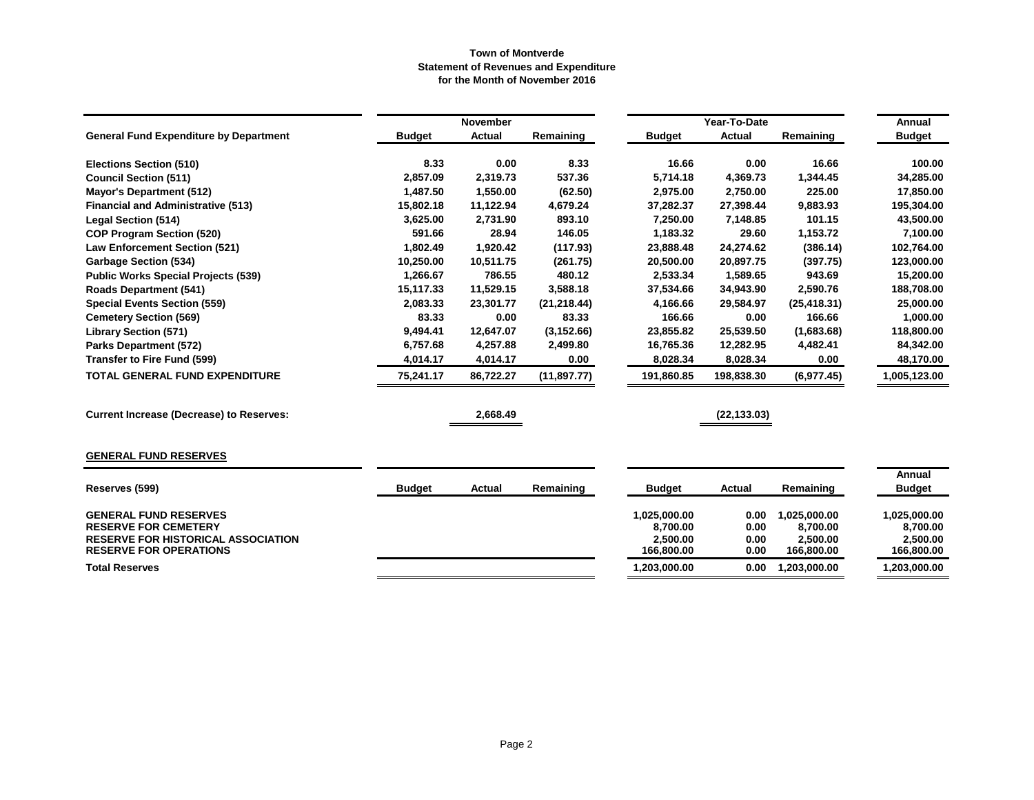|                                                                            |               | November      |              |                          | Year-To-Date |                          | Annual                   |
|----------------------------------------------------------------------------|---------------|---------------|--------------|--------------------------|--------------|--------------------------|--------------------------|
| <b>General Fund Expenditure by Department</b>                              | <b>Budget</b> | <b>Actual</b> | Remaining    | <b>Budget</b>            | Actual       | Remaining                | <b>Budget</b>            |
| <b>Elections Section (510)</b>                                             | 8.33          | 0.00          | 8.33         | 16.66                    | 0.00         | 16.66                    | 100.00                   |
| <b>Council Section (511)</b>                                               | 2,857.09      | 2,319.73      | 537.36       | 5,714.18                 | 4,369.73     | 1,344.45                 | 34,285.00                |
| <b>Mayor's Department (512)</b>                                            | 1,487.50      | 1,550.00      | (62.50)      | 2,975.00                 | 2,750.00     | 225.00                   | 17,850.00                |
| <b>Financial and Administrative (513)</b>                                  | 15,802.18     | 11,122.94     | 4,679.24     | 37,282.37                | 27,398.44    | 9,883.93                 | 195,304.00               |
| <b>Legal Section (514)</b>                                                 | 3,625.00      | 2,731.90      | 893.10       | 7,250.00                 | 7,148.85     | 101.15                   | 43,500.00                |
| <b>COP Program Section (520)</b>                                           | 591.66        | 28.94         | 146.05       | 1,183.32                 | 29.60        | 1,153.72                 | 7,100.00                 |
| <b>Law Enforcement Section (521)</b>                                       | 1,802.49      | 1,920.42      | (117.93)     | 23,888.48                | 24,274.62    | (386.14)                 | 102,764.00               |
| <b>Garbage Section (534)</b>                                               | 10,250.00     | 10,511.75     | (261.75)     | 20,500.00                | 20,897.75    | (397.75)                 | 123,000.00               |
| <b>Public Works Special Projects (539)</b>                                 | 1,266.67      | 786.55        | 480.12       | 2,533.34                 | 1,589.65     | 943.69                   | 15,200.00                |
| <b>Roads Department (541)</b>                                              | 15,117.33     | 11,529.15     | 3,588.18     | 37,534.66                | 34,943.90    | 2,590.76                 | 188,708.00               |
| <b>Special Events Section (559)</b>                                        | 2,083.33      | 23,301.77     | (21, 218.44) | 4,166.66                 | 29,584.97    | (25, 418.31)             | 25,000.00                |
| <b>Cemetery Section (569)</b>                                              | 83.33         | 0.00          | 83.33        | 166.66                   | 0.00         | 166.66                   | 1,000.00                 |
| <b>Library Section (571)</b>                                               | 9,494.41      | 12,647.07     | (3, 152.66)  | 23,855.82                | 25,539.50    | (1,683.68)               | 118,800.00               |
| <b>Parks Department (572)</b>                                              | 6,757.68      | 4,257.88      | 2,499.80     | 16,765.36                | 12,282.95    | 4,482.41                 | 84,342.00                |
| Transfer to Fire Fund (599)                                                | 4,014.17      | 4,014.17      | 0.00         | 8,028.34                 | 8,028.34     | 0.00                     | 48,170.00                |
| <b>TOTAL GENERAL FUND EXPENDITURE</b>                                      | 75,241.17     | 86,722.27     | (11, 897.77) | 191,860.85               | 198,838.30   | (6,977.45)               | 1,005,123.00             |
| <b>Current Increase (Decrease) to Reserves:</b>                            |               | 2,668.49      |              |                          | (22, 133.03) |                          |                          |
| <b>GENERAL FUND RESERVES</b>                                               |               |               |              |                          |              |                          |                          |
|                                                                            |               |               |              |                          |              |                          | Annual                   |
| Reserves (599)                                                             | <b>Budget</b> | <b>Actual</b> | Remaining    | <b>Budget</b>            | Actual       | Remaining                | <b>Budget</b>            |
| <b>GENERAL FUND RESERVES</b><br><b>RESERVE FOR CEMETERY</b>                |               |               |              | 1,025,000.00<br>8,700.00 | 0.00<br>0.00 | 1,025,000.00<br>8,700.00 | 1,025,000.00<br>8,700.00 |
| <b>RESERVE FOR HISTORICAL ASSOCIATION</b><br><b>RESERVE FOR OPERATIONS</b> |               |               |              | 2,500.00<br>166,800.00   | 0.00<br>0.00 | 2,500.00<br>166,800.00   | 2,500.00<br>166,800.00   |
| <b>Total Reserves</b>                                                      |               |               |              | 1,203,000.00             | 0.00         | 1,203,000.00             | 1,203,000.00             |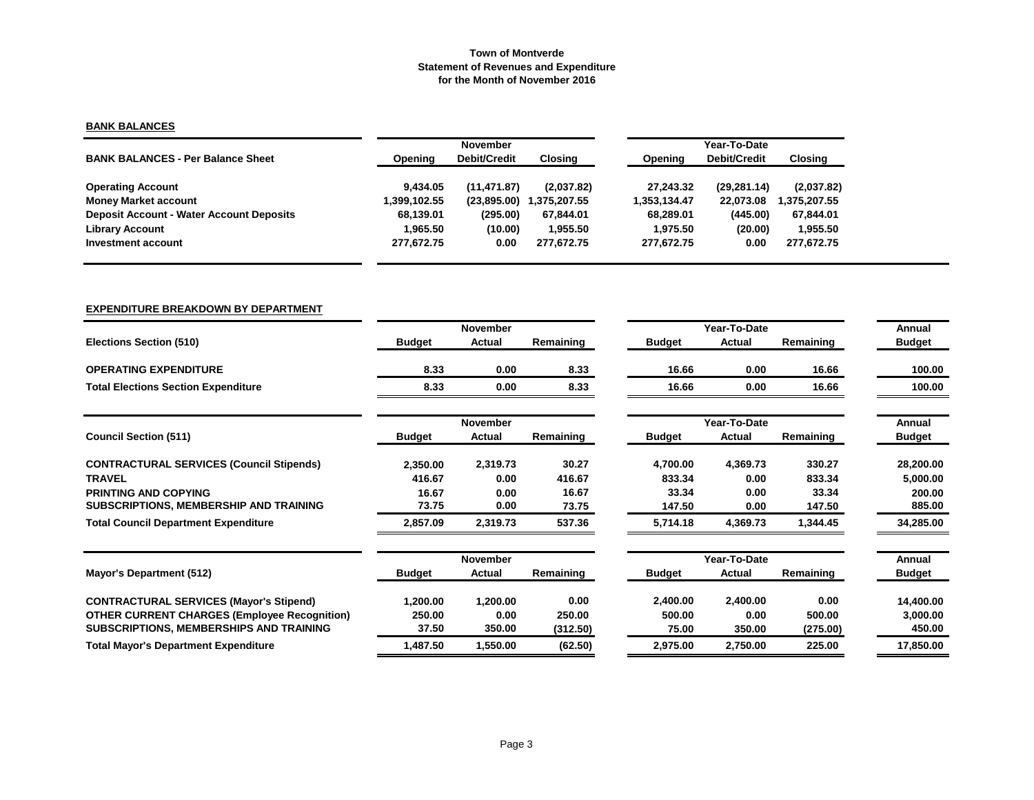# **BANK BALANCES**

|                                                 |              | <b>November</b>     |              |              | Year-To-Date        |             |  |  |  |
|-------------------------------------------------|--------------|---------------------|--------------|--------------|---------------------|-------------|--|--|--|
| <b>BANK BALANCES - Per Balance Sheet</b>        | Opening      | <b>Debit/Credit</b> | Closing      | Opening      | <b>Debit/Credit</b> | Closing     |  |  |  |
| <b>Operating Account</b>                        | 9.434.05     | (11, 471.87)        | (2,037.82)   | 27.243.32    | (29, 281.14)        | (2,037.82)  |  |  |  |
| <b>Money Market account</b>                     | 1,399,102.55 | (23,895.00)         | 1.375.207.55 | 1,353,134.47 | 22.073.08           | ,375,207.55 |  |  |  |
| <b>Deposit Account - Water Account Deposits</b> | 68,139.01    | (295.00)            | 67,844.01    | 68.289.01    | (445.00)            | 67,844.01   |  |  |  |
| <b>Library Account</b>                          | 1.965.50     | (10.00)             | 1.955.50     | 1.975.50     | (20.00)             | 1,955.50    |  |  |  |
| Investment account                              | 277.672.75   | 0.00                | 277.672.75   | 277.672.75   | 0.00                | 277,672.75  |  |  |  |

# **EXPENDITURE BREAKDOWN BY DEPARTMENT**

|                                                     |               | November      |           |  |               | Year-To-Date |           | Annual        |
|-----------------------------------------------------|---------------|---------------|-----------|--|---------------|--------------|-----------|---------------|
| <b>Elections Section (510)</b>                      | <b>Budget</b> | <b>Actual</b> | Remaining |  | <b>Budget</b> | Actual       | Remaining | <b>Budget</b> |
| <b>OPERATING EXPENDITURE</b>                        | 8.33          | 0.00          | 8.33      |  | 16.66         | 0.00         | 16.66     | 100.00        |
| <b>Total Elections Section Expenditure</b>          | 8.33          | 0.00          | 8.33      |  | 16.66         | 0.00         | 16.66     | 100.00        |
|                                                     |               | November      |           |  |               | Year-To-Date |           | Annual        |
| <b>Council Section (511)</b>                        | <b>Budget</b> | <b>Actual</b> | Remaining |  | <b>Budget</b> | Actual       | Remaining | <b>Budget</b> |
| <b>CONTRACTURAL SERVICES (Council Stipends)</b>     | 2,350.00      | 2,319.73      | 30.27     |  | 4,700.00      | 4,369.73     | 330.27    | 28,200.00     |
| <b>TRAVEL</b>                                       | 416.67        | 0.00          | 416.67    |  | 833.34        | 0.00         | 833.34    | 5,000.00      |
| <b>PRINTING AND COPYING</b>                         | 16.67         | 0.00          | 16.67     |  | 33.34         | 0.00         | 33.34     | 200.00        |
| SUBSCRIPTIONS, MEMBERSHIP AND TRAINING              | 73.75         | 0.00          | 73.75     |  | 147.50        | 0.00         | 147.50    | 885.00        |
| <b>Total Council Department Expenditure</b>         | 2,857.09      | 2,319.73      | 537.36    |  | 5,714.18      | 4,369.73     | 1,344.45  | 34,285.00     |
|                                                     |               | November      |           |  |               | Year-To-Date |           | Annual        |
| <b>Mayor's Department (512)</b>                     | <b>Budget</b> | Actual        | Remaining |  | <b>Budget</b> | Actual       | Remaining | <b>Budget</b> |
| <b>CONTRACTURAL SERVICES (Mayor's Stipend)</b>      | 1,200.00      | 1,200.00      | 0.00      |  | 2,400.00      | 2,400.00     | 0.00      | 14,400.00     |
| <b>OTHER CURRENT CHARGES (Employee Recognition)</b> | 250.00        | 0.00          | 250.00    |  | 500.00        | 0.00         | 500.00    | 3,000.00      |
| <b>SUBSCRIPTIONS, MEMBERSHIPS AND TRAINING</b>      | 37.50         | 350.00        | (312.50)  |  | 75.00         | 350.00       | (275.00)  | 450.00        |
| <b>Total Mayor's Department Expenditure</b>         | 1,487.50      | 1,550.00      | (62.50)   |  | 2,975.00      | 2,750.00     | 225.00    | 17,850.00     |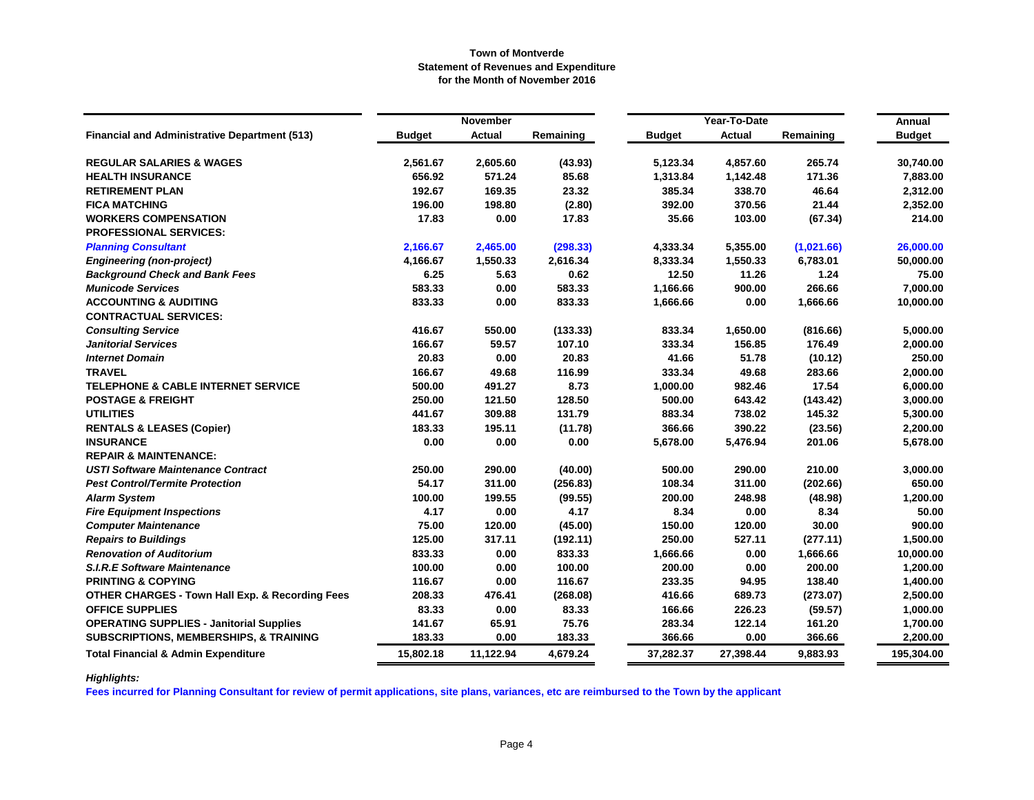|                                                            |               | <b>November</b> |           |               | Year-To-Date  |            | Annual        |
|------------------------------------------------------------|---------------|-----------------|-----------|---------------|---------------|------------|---------------|
| <b>Financial and Administrative Department (513)</b>       | <b>Budget</b> | <b>Actual</b>   | Remaining | <b>Budget</b> | <b>Actual</b> | Remaining  | <b>Budget</b> |
| <b>REGULAR SALARIES &amp; WAGES</b>                        | 2,561.67      | 2,605.60        | (43.93)   | 5,123.34      | 4,857.60      | 265.74     | 30,740.00     |
| <b>HEALTH INSURANCE</b>                                    | 656.92        | 571.24          | 85.68     | 1,313.84      | 1,142.48      | 171.36     | 7,883.00      |
| <b>RETIREMENT PLAN</b>                                     | 192.67        | 169.35          | 23.32     | 385.34        | 338.70        | 46.64      | 2,312.00      |
| <b>FICA MATCHING</b>                                       | 196.00        | 198.80          | (2.80)    | 392.00        | 370.56        | 21.44      | 2,352.00      |
| <b>WORKERS COMPENSATION</b>                                | 17.83         | 0.00            | 17.83     | 35.66         | 103.00        | (67.34)    | 214.00        |
| <b>PROFESSIONAL SERVICES:</b>                              |               |                 |           |               |               |            |               |
| <b>Planning Consultant</b>                                 | 2,166.67      | 2,465.00        | (298.33)  | 4,333.34      | 5,355.00      | (1,021.66) | 26,000.00     |
| <b>Engineering (non-project)</b>                           | 4,166.67      | 1,550.33        | 2,616.34  | 8,333.34      | 1,550.33      | 6,783.01   | 50,000.00     |
| <b>Background Check and Bank Fees</b>                      | 6.25          | 5.63            | 0.62      | 12.50         | 11.26         | 1.24       | 75.00         |
| <b>Municode Services</b>                                   | 583.33        | 0.00            | 583.33    | 1,166.66      | 900.00        | 266.66     | 7,000.00      |
| <b>ACCOUNTING &amp; AUDITING</b>                           | 833.33        | 0.00            | 833.33    | 1,666.66      | 0.00          | 1,666.66   | 10,000.00     |
| <b>CONTRACTUAL SERVICES:</b>                               |               |                 |           |               |               |            |               |
| <b>Consulting Service</b>                                  | 416.67        | 550.00          | (133.33)  | 833.34        | 1,650.00      | (816.66)   | 5,000.00      |
| <b>Janitorial Services</b>                                 | 166.67        | 59.57           | 107.10    | 333.34        | 156.85        | 176.49     | 2,000.00      |
| <b>Internet Domain</b>                                     | 20.83         | 0.00            | 20.83     | 41.66         | 51.78         | (10.12)    | 250.00        |
| <b>TRAVEL</b>                                              | 166.67        | 49.68           | 116.99    | 333.34        | 49.68         | 283.66     | 2,000.00      |
| <b>TELEPHONE &amp; CABLE INTERNET SERVICE</b>              | 500.00        | 491.27          | 8.73      | 1,000.00      | 982.46        | 17.54      | 6,000.00      |
| <b>POSTAGE &amp; FREIGHT</b>                               | 250.00        | 121.50          | 128.50    | 500.00        | 643.42        | (143.42)   | 3,000.00      |
| <b>UTILITIES</b>                                           | 441.67        | 309.88          | 131.79    | 883.34        | 738.02        | 145.32     | 5,300.00      |
| <b>RENTALS &amp; LEASES (Copier)</b>                       | 183.33        | 195.11          | (11.78)   | 366.66        | 390.22        | (23.56)    | 2,200.00      |
| <b>INSURANCE</b>                                           | 0.00          | 0.00            | 0.00      | 5,678.00      | 5,476.94      | 201.06     | 5,678.00      |
| <b>REPAIR &amp; MAINTENANCE:</b>                           |               |                 |           |               |               |            |               |
| <b>USTI Software Maintenance Contract</b>                  | 250.00        | 290.00          | (40.00)   | 500.00        | 290.00        | 210.00     | 3,000.00      |
| <b>Pest Control/Termite Protection</b>                     | 54.17         | 311.00          | (256.83)  | 108.34        | 311.00        | (202.66)   | 650.00        |
| <b>Alarm System</b>                                        | 100.00        | 199.55          | (99.55)   | 200.00        | 248.98        | (48.98)    | 1,200.00      |
| <b>Fire Equipment Inspections</b>                          | 4.17          | 0.00            | 4.17      | 8.34          | 0.00          | 8.34       | 50.00         |
| <b>Computer Maintenance</b>                                | 75.00         | 120.00          | (45.00)   | 150.00        | 120.00        | 30.00      | 900.00        |
| <b>Repairs to Buildings</b>                                | 125.00        | 317.11          | (192.11)  | 250.00        | 527.11        | (277.11)   | 1,500.00      |
| <b>Renovation of Auditorium</b>                            | 833.33        | 0.00            | 833.33    | 1,666.66      | 0.00          | 1,666.66   | 10,000.00     |
| <b>S.I.R.E Software Maintenance</b>                        | 100.00        | 0.00            | 100.00    | 200.00        | 0.00          | 200.00     | 1,200.00      |
| <b>PRINTING &amp; COPYING</b>                              | 116.67        | 0.00            | 116.67    | 233.35        | 94.95         | 138.40     | 1,400.00      |
| <b>OTHER CHARGES - Town Hall Exp. &amp; Recording Fees</b> | 208.33        | 476.41          | (268.08)  | 416.66        | 689.73        | (273.07)   | 2,500.00      |
| <b>OFFICE SUPPLIES</b>                                     | 83.33         | 0.00            | 83.33     | 166.66        | 226.23        | (59.57)    | 1,000.00      |
| <b>OPERATING SUPPLIES - Janitorial Supplies</b>            | 141.67        | 65.91           | 75.76     | 283.34        | 122.14        | 161.20     | 1,700.00      |
| <b>SUBSCRIPTIONS, MEMBERSHIPS, &amp; TRAINING</b>          | 183.33        | 0.00            | 183.33    | 366.66        | 0.00          | 366.66     | 2,200.00      |
| <b>Total Financial &amp; Admin Expenditure</b>             | 15,802.18     | 11,122.94       | 4,679.24  | 37,282.37     | 27,398.44     | 9,883.93   | 195,304.00    |

# *Highlights:*

**Fees incurred for Planning Consultant for review of permit applications, site plans, variances, etc are reimbursed to the Town by the applicant**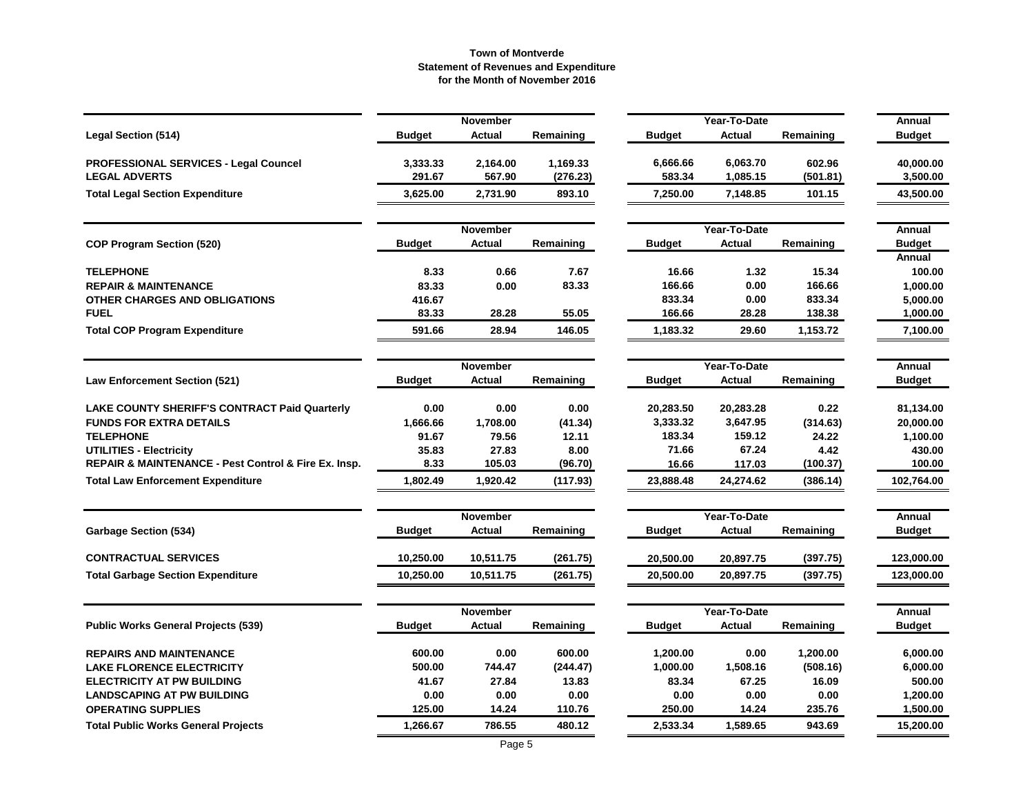|                                                      |               | November        |           |               | Year-To-Date  |           | Annual        |
|------------------------------------------------------|---------------|-----------------|-----------|---------------|---------------|-----------|---------------|
| <b>Legal Section (514)</b>                           | <b>Budget</b> | <b>Actual</b>   | Remaining | <b>Budget</b> | <b>Actual</b> | Remaining | <b>Budget</b> |
| <b>PROFESSIONAL SERVICES - Legal Councel</b>         | 3,333.33      | 2,164.00        | 1,169.33  | 6,666.66      | 6,063.70      | 602.96    | 40,000.00     |
| <b>LEGAL ADVERTS</b>                                 | 291.67        | 567.90          | (276.23)  | 583.34        | 1,085.15      | (501.81)  | 3,500.00      |
| <b>Total Legal Section Expenditure</b>               | 3,625.00      | 2,731.90        | 893.10    | 7,250.00      | 7,148.85      | 101.15    | 43,500.00     |
|                                                      |               | November        |           |               | Year-To-Date  |           | Annual        |
| <b>COP Program Section (520)</b>                     | <b>Budget</b> | <b>Actual</b>   | Remaining | <b>Budget</b> | <b>Actual</b> | Remaining | <b>Budget</b> |
|                                                      |               |                 |           |               |               |           | Annual        |
| <b>TELEPHONE</b>                                     | 8.33          | 0.66            | 7.67      | 16.66         | 1.32          | 15.34     | 100.00        |
| <b>REPAIR &amp; MAINTENANCE</b>                      | 83.33         | 0.00            | 83.33     | 166.66        | 0.00          | 166.66    | 1,000.00      |
| OTHER CHARGES AND OBLIGATIONS                        | 416.67        |                 |           | 833.34        | 0.00          | 833.34    | 5,000.00      |
| <b>FUEL</b>                                          | 83.33         | 28.28           | 55.05     | 166.66        | 28.28         | 138.38    | 1,000.00      |
| <b>Total COP Program Expenditure</b>                 | 591.66        | 28.94           | 146.05    | 1,183.32      | 29.60         | 1,153.72  | 7,100.00      |
|                                                      |               | <b>November</b> |           |               | Year-To-Date  |           | Annual        |
| <b>Law Enforcement Section (521)</b>                 | <b>Budget</b> | Actual          | Remaining | Budget        | Actual        | Remaining | <b>Budget</b> |
| <b>LAKE COUNTY SHERIFF'S CONTRACT Paid Quarterly</b> | 0.00          | 0.00            | 0.00      | 20,283.50     | 20,283.28     | 0.22      | 81,134.00     |
| <b>FUNDS FOR EXTRA DETAILS</b>                       | 1,666.66      | 1,708.00        | (41.34)   | 3,333.32      | 3,647.95      | (314.63)  | 20,000.00     |
| <b>TELEPHONE</b>                                     | 91.67         | 79.56           | 12.11     | 183.34        | 159.12        | 24.22     | 1,100.00      |
| <b>UTILITIES - Electricity</b>                       | 35.83         | 27.83           | 8.00      | 71.66         | 67.24         | 4.42      | 430.00        |
| REPAIR & MAINTENANCE - Pest Control & Fire Ex. Insp. | 8.33          | 105.03          | (96.70)   | 16.66         | 117.03        | (100.37)  | 100.00        |
| <b>Total Law Enforcement Expenditure</b>             | 1,802.49      | 1,920.42        | (117.93)  | 23,888.48     | 24,274.62     | (386.14)  | 102,764.00    |
|                                                      |               | November        |           |               | Year-To-Date  |           | Annual        |
| <b>Garbage Section (534)</b>                         | <b>Budget</b> | Actual          | Remaining | Budget        | Actual        | Remaining | <b>Budget</b> |
| <b>CONTRACTUAL SERVICES</b>                          | 10,250.00     | 10,511.75       | (261.75)  | 20,500.00     | 20,897.75     | (397.75)  | 123,000.00    |
| <b>Total Garbage Section Expenditure</b>             | 10,250.00     | 10,511.75       | (261.75)  | 20,500.00     | 20,897.75     | (397.75)  | 123,000.00    |
|                                                      |               | November        |           |               | Year-To-Date  |           | Annual        |
| <b>Public Works General Projects (539)</b>           | <b>Budget</b> | Actual          | Remaining | Budget        | Actual        | Remaining | <b>Budget</b> |
| <b>REPAIRS AND MAINTENANCE</b>                       | 600.00        | 0.00            | 600.00    | 1,200.00      | 0.00          | 1,200.00  | 6,000.00      |
| <b>LAKE FLORENCE ELECTRICITY</b>                     | 500.00        | 744.47          | (244.47)  | 1,000.00      | 1,508.16      | (508.16)  | 6,000.00      |
| <b>ELECTRICITY AT PW BUILDING</b>                    | 41.67         | 27.84           | 13.83     | 83.34         | 67.25         | 16.09     | 500.00        |
| <b>LANDSCAPING AT PW BUILDING</b>                    | 0.00          | 0.00            | 0.00      | 0.00          | 0.00          | 0.00      | 1,200.00      |
| <b>OPERATING SUPPLIES</b>                            | 125.00        | 14.24           | 110.76    | 250.00        | 14.24         | 235.76    | 1,500.00      |
| <b>Total Public Works General Projects</b>           | 1,266.67      | 786.55          | 480.12    | 2,533.34      | 1,589.65      | 943.69    | 15,200.00     |
|                                                      |               |                 |           |               |               |           |               |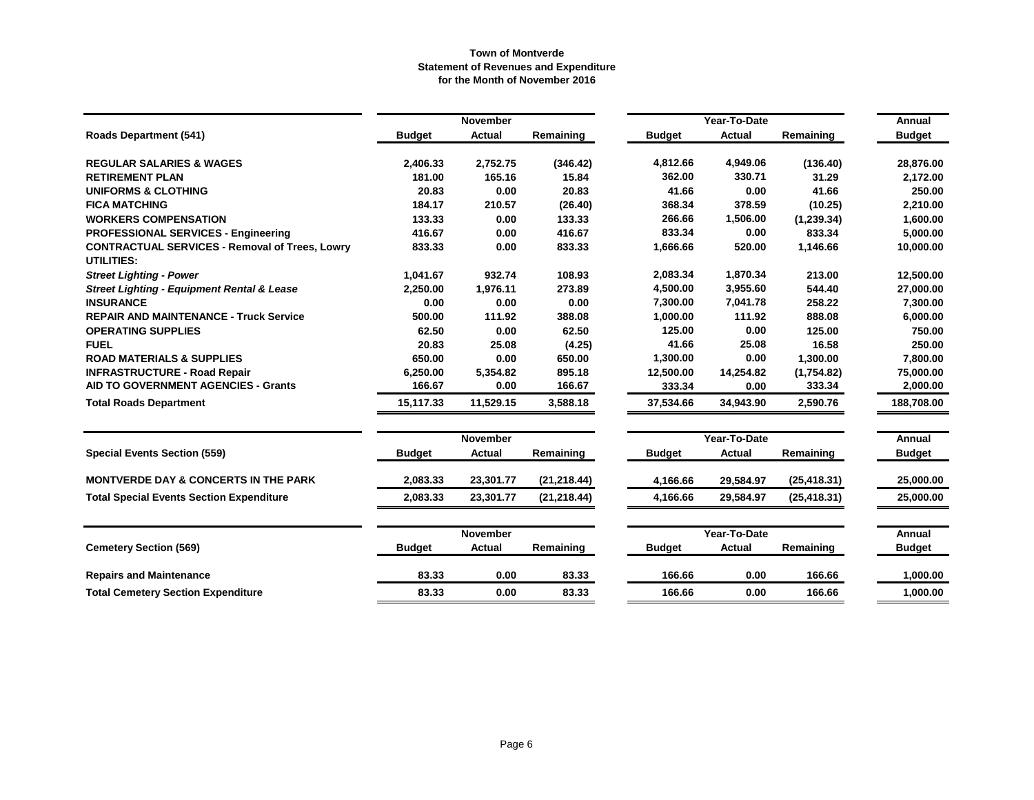|                                                                            |               | November        |              |               | Year-To-Date |              | Annual        |
|----------------------------------------------------------------------------|---------------|-----------------|--------------|---------------|--------------|--------------|---------------|
| <b>Roads Department (541)</b>                                              | <b>Budget</b> | <b>Actual</b>   | Remaining    | <b>Budget</b> | Actual       | Remaining    | <b>Budget</b> |
| <b>REGULAR SALARIES &amp; WAGES</b>                                        | 2,406.33      | 2,752.75        | (346.42)     | 4,812.66      | 4,949.06     | (136.40)     | 28,876.00     |
| <b>RETIREMENT PLAN</b>                                                     | 181.00        | 165.16          | 15.84        | 362.00        | 330.71       | 31.29        | 2,172.00      |
| <b>UNIFORMS &amp; CLOTHING</b>                                             | 20.83         | 0.00            | 20.83        | 41.66         | 0.00         | 41.66        | 250.00        |
| <b>FICA MATCHING</b>                                                       | 184.17        | 210.57          | (26.40)      | 368.34        | 378.59       | (10.25)      | 2,210.00      |
| <b>WORKERS COMPENSATION</b>                                                | 133.33        | 0.00            | 133.33       | 266.66        | 1,506.00     | (1,239.34)   | 1,600.00      |
| <b>PROFESSIONAL SERVICES - Engineering</b>                                 | 416.67        | 0.00            | 416.67       | 833.34        | 0.00         | 833.34       | 5,000.00      |
| <b>CONTRACTUAL SERVICES - Removal of Trees, Lowry</b><br><b>UTILITIES:</b> | 833.33        | 0.00            | 833.33       | 1,666.66      | 520.00       | 1,146.66     | 10,000.00     |
| <b>Street Lighting - Power</b>                                             | 1,041.67      | 932.74          | 108.93       | 2,083.34      | 1,870.34     | 213.00       | 12,500.00     |
| <b>Street Lighting - Equipment Rental &amp; Lease</b>                      | 2,250.00      | 1,976.11        | 273.89       | 4,500.00      | 3,955.60     | 544.40       | 27,000.00     |
| <b>INSURANCE</b>                                                           | 0.00          | 0.00            | 0.00         | 7,300.00      | 7,041.78     | 258.22       | 7,300.00      |
| <b>REPAIR AND MAINTENANCE - Truck Service</b>                              | 500.00        | 111.92          | 388.08       | 1,000.00      | 111.92       | 888.08       | 6,000.00      |
| <b>OPERATING SUPPLIES</b>                                                  | 62.50         | 0.00            | 62.50        | 125.00        | 0.00         | 125.00       | 750.00        |
| <b>FUEL</b>                                                                | 20.83         | 25.08           | (4.25)       | 41.66         | 25.08        | 16.58        | 250.00        |
| <b>ROAD MATERIALS &amp; SUPPLIES</b>                                       | 650.00        | 0.00            | 650.00       | 1,300.00      | 0.00         | 1,300.00     | 7,800.00      |
| <b>INFRASTRUCTURE - Road Repair</b>                                        | 6,250.00      | 5,354.82        | 895.18       | 12,500.00     | 14,254.82    | (1,754.82)   | 75,000.00     |
| <b>AID TO GOVERNMENT AGENCIES - Grants</b>                                 | 166.67        | 0.00            | 166.67       | 333.34        | 0.00         | 333.34       | 2,000.00      |
| <b>Total Roads Department</b>                                              | 15,117.33     | 11,529.15       | 3,588.18     | 37,534.66     | 34,943.90    | 2,590.76     | 188,708.00    |
|                                                                            |               | <b>November</b> |              | Year-To-Date  |              | Annual       |               |
| <b>Special Events Section (559)</b>                                        | <b>Budget</b> | <b>Actual</b>   | Remaining    | <b>Budget</b> | Actual       | Remaining    | <b>Budget</b> |
| <b>MONTVERDE DAY &amp; CONCERTS IN THE PARK</b>                            | 2,083.33      | 23,301.77       | (21, 218.44) | 4,166.66      | 29,584.97    | (25, 418.31) | 25.000.00     |
| <b>Total Special Events Section Expenditure</b>                            | 2,083.33      | 23,301.77       | (21, 218.44) | 4,166.66      | 29,584.97    | (25, 418.31) | 25,000.00     |
|                                                                            |               | <b>November</b> |              |               | Year-To-Date |              | Annual        |
| <b>Cemetery Section (569)</b>                                              | <b>Budget</b> | Actual          | Remaining    | <b>Budget</b> | Actual       | Remaining    | <b>Budget</b> |
| <b>Repairs and Maintenance</b>                                             | 83.33         | 0.00            | 83.33        | 166.66        | 0.00         | 166.66       | 1,000.00      |
| <b>Total Cemetery Section Expenditure</b>                                  | 83.33         | 0.00            | 83.33        | 166.66        | 0.00         | 166.66       | 1,000.00      |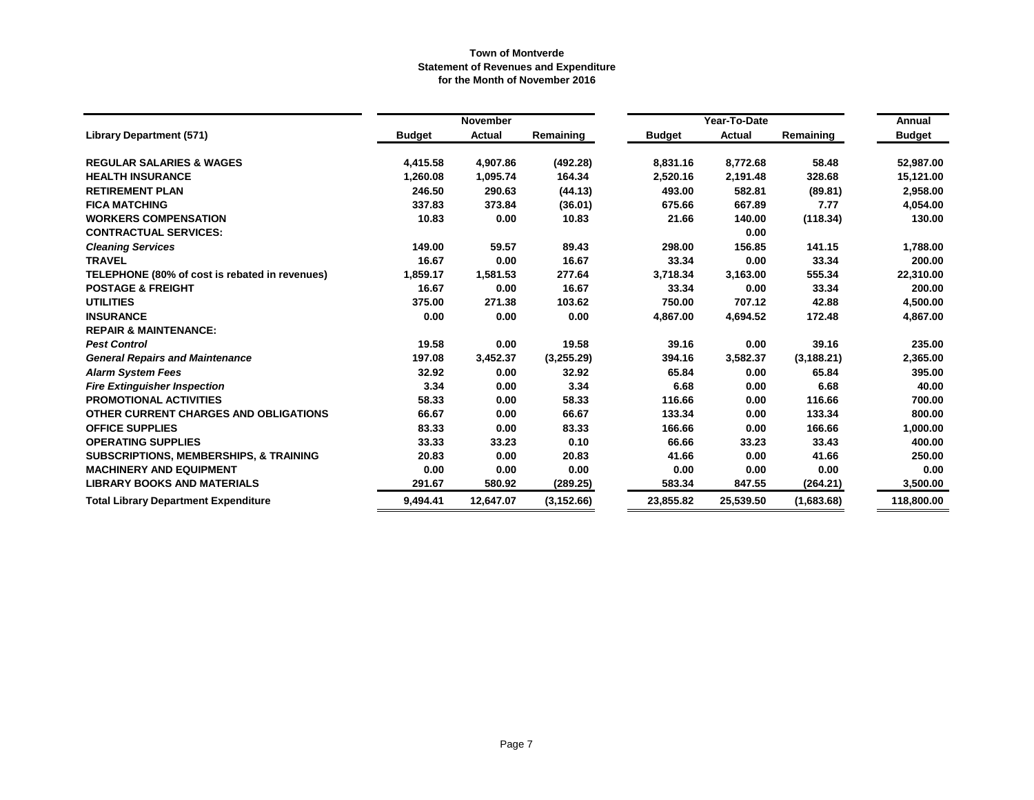|                                                   |               | <b>November</b> |             |               | Year-To-Date  |             | Annual        |
|---------------------------------------------------|---------------|-----------------|-------------|---------------|---------------|-------------|---------------|
| <b>Library Department (571)</b>                   | <b>Budget</b> | <b>Actual</b>   | Remaining   | <b>Budget</b> | <b>Actual</b> | Remaining   | <b>Budget</b> |
| <b>REGULAR SALARIES &amp; WAGES</b>               | 4,415.58      | 4,907.86        | (492.28)    | 8,831.16      | 8,772.68      | 58.48       | 52,987.00     |
| <b>HEALTH INSURANCE</b>                           | 1,260.08      | 1,095.74        | 164.34      | 2,520.16      | 2,191.48      | 328.68      | 15,121.00     |
| <b>RETIREMENT PLAN</b>                            | 246.50        | 290.63          | (44.13)     | 493.00        | 582.81        | (89.81)     | 2,958.00      |
| <b>FICA MATCHING</b>                              | 337.83        | 373.84          | (36.01)     | 675.66        | 667.89        | 7.77        | 4,054.00      |
| <b>WORKERS COMPENSATION</b>                       | 10.83         | 0.00            | 10.83       | 21.66         | 140.00        | (118.34)    | 130.00        |
| <b>CONTRACTUAL SERVICES:</b>                      |               |                 |             |               | 0.00          |             |               |
| <b>Cleaning Services</b>                          | 149.00        | 59.57           | 89.43       | 298.00        | 156.85        | 141.15      | 1,788.00      |
| <b>TRAVEL</b>                                     | 16.67         | 0.00            | 16.67       | 33.34         | 0.00          | 33.34       | 200.00        |
| TELEPHONE (80% of cost is rebated in revenues)    | 1,859.17      | 1,581.53        | 277.64      | 3,718.34      | 3,163.00      | 555.34      | 22,310.00     |
| <b>POSTAGE &amp; FREIGHT</b>                      | 16.67         | 0.00            | 16.67       | 33.34         | 0.00          | 33.34       | 200.00        |
| <b>UTILITIES</b>                                  | 375.00        | 271.38          | 103.62      | 750.00        | 707.12        | 42.88       | 4,500.00      |
| <b>INSURANCE</b>                                  | 0.00          | 0.00            | 0.00        | 4,867.00      | 4,694.52      | 172.48      | 4,867.00      |
| <b>REPAIR &amp; MAINTENANCE:</b>                  |               |                 |             |               |               |             |               |
| <b>Pest Control</b>                               | 19.58         | 0.00            | 19.58       | 39.16         | 0.00          | 39.16       | 235.00        |
| <b>General Repairs and Maintenance</b>            | 197.08        | 3,452.37        | (3,255.29)  | 394.16        | 3,582.37      | (3, 188.21) | 2,365.00      |
| <b>Alarm System Fees</b>                          | 32.92         | 0.00            | 32.92       | 65.84         | 0.00          | 65.84       | 395.00        |
| <b>Fire Extinguisher Inspection</b>               | 3.34          | 0.00            | 3.34        | 6.68          | 0.00          | 6.68        | 40.00         |
| <b>PROMOTIONAL ACTIVITIES</b>                     | 58.33         | 0.00            | 58.33       | 116.66        | 0.00          | 116.66      | 700.00        |
| OTHER CURRENT CHARGES AND OBLIGATIONS             | 66.67         | 0.00            | 66.67       | 133.34        | 0.00          | 133.34      | 800.00        |
| <b>OFFICE SUPPLIES</b>                            | 83.33         | 0.00            | 83.33       | 166.66        | 0.00          | 166.66      | 1,000.00      |
| <b>OPERATING SUPPLIES</b>                         | 33.33         | 33.23           | 0.10        | 66.66         | 33.23         | 33.43       | 400.00        |
| <b>SUBSCRIPTIONS, MEMBERSHIPS, &amp; TRAINING</b> | 20.83         | 0.00            | 20.83       | 41.66         | 0.00          | 41.66       | 250.00        |
| <b>MACHINERY AND EQUIPMENT</b>                    | 0.00          | 0.00            | 0.00        | 0.00          | 0.00          | 0.00        | 0.00          |
| <b>LIBRARY BOOKS AND MATERIALS</b>                | 291.67        | 580.92          | (289.25)    | 583.34        | 847.55        | (264.21)    | 3,500.00      |
| <b>Total Library Department Expenditure</b>       | 9,494.41      | 12,647.07       | (3, 152.66) | 23,855.82     | 25,539.50     | (1,683.68)  | 118,800.00    |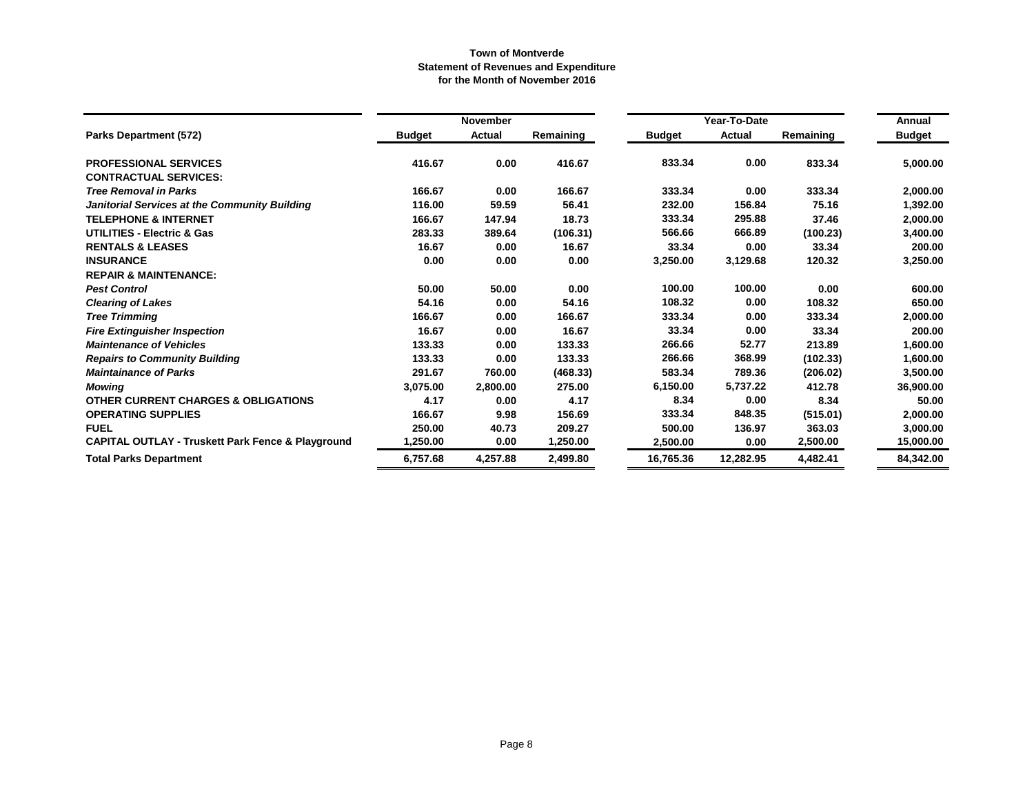|                                                              |               | November      |           |               | Year-To-Date |           | Annual        |
|--------------------------------------------------------------|---------------|---------------|-----------|---------------|--------------|-----------|---------------|
| <b>Parks Department (572)</b>                                | <b>Budget</b> | <b>Actual</b> | Remaining | <b>Budget</b> | Actual       | Remaining | <b>Budget</b> |
| <b>PROFESSIONAL SERVICES</b>                                 | 416.67        | 0.00          | 416.67    | 833.34        | 0.00         | 833.34    | 5,000.00      |
| <b>CONTRACTUAL SERVICES:</b>                                 |               |               |           |               |              |           |               |
| <b>Tree Removal in Parks</b>                                 | 166.67        | 0.00          | 166.67    | 333.34        | 0.00         | 333.34    | 2,000.00      |
| Janitorial Services at the Community Building                | 116.00        | 59.59         | 56.41     | 232.00        | 156.84       | 75.16     | 1,392.00      |
| <b>TELEPHONE &amp; INTERNET</b>                              | 166.67        | 147.94        | 18.73     | 333.34        | 295.88       | 37.46     | 2,000.00      |
| UTILITIES - Electric & Gas                                   | 283.33        | 389.64        | (106.31)  | 566.66        | 666.89       | (100.23)  | 3,400.00      |
| <b>RENTALS &amp; LEASES</b>                                  | 16.67         | 0.00          | 16.67     | 33.34         | 0.00         | 33.34     | 200.00        |
| <b>INSURANCE</b>                                             | 0.00          | 0.00          | 0.00      | 3,250.00      | 3,129.68     | 120.32    | 3,250.00      |
| <b>REPAIR &amp; MAINTENANCE:</b>                             |               |               |           |               |              |           |               |
| <b>Pest Control</b>                                          | 50.00         | 50.00         | 0.00      | 100.00        | 100.00       | 0.00      | 600.00        |
| <b>Clearing of Lakes</b>                                     | 54.16         | 0.00          | 54.16     | 108.32        | 0.00         | 108.32    | 650.00        |
| <b>Tree Trimming</b>                                         | 166.67        | 0.00          | 166.67    | 333.34        | 0.00         | 333.34    | 2,000.00      |
| <b>Fire Extinguisher Inspection</b>                          | 16.67         | 0.00          | 16.67     | 33.34         | 0.00         | 33.34     | 200.00        |
| <b>Maintenance of Vehicles</b>                               | 133.33        | 0.00          | 133.33    | 266.66        | 52.77        | 213.89    | 1,600.00      |
| <b>Repairs to Community Building</b>                         | 133.33        | 0.00          | 133.33    | 266.66        | 368.99       | (102.33)  | 1,600.00      |
| <b>Maintainance of Parks</b>                                 | 291.67        | 760.00        | (468.33)  | 583.34        | 789.36       | (206.02)  | 3,500.00      |
| <b>Mowing</b>                                                | 3,075.00      | 2,800.00      | 275.00    | 6,150.00      | 5,737.22     | 412.78    | 36,900.00     |
| <b>OTHER CURRENT CHARGES &amp; OBLIGATIONS</b>               | 4.17          | 0.00          | 4.17      | 8.34          | 0.00         | 8.34      | 50.00         |
| <b>OPERATING SUPPLIES</b>                                    | 166.67        | 9.98          | 156.69    | 333.34        | 848.35       | (515.01)  | 2,000.00      |
| <b>FUEL</b>                                                  | 250.00        | 40.73         | 209.27    | 500.00        | 136.97       | 363.03    | 3,000.00      |
| <b>CAPITAL OUTLAY - Truskett Park Fence &amp; Playground</b> | 1,250.00      | 0.00          | 1,250.00  | 2,500.00      | 0.00         | 2,500.00  | 15,000.00     |
| <b>Total Parks Department</b>                                | 6,757.68      | 4,257.88      | 2.499.80  | 16,765.36     | 12,282.95    | 4,482.41  | 84,342.00     |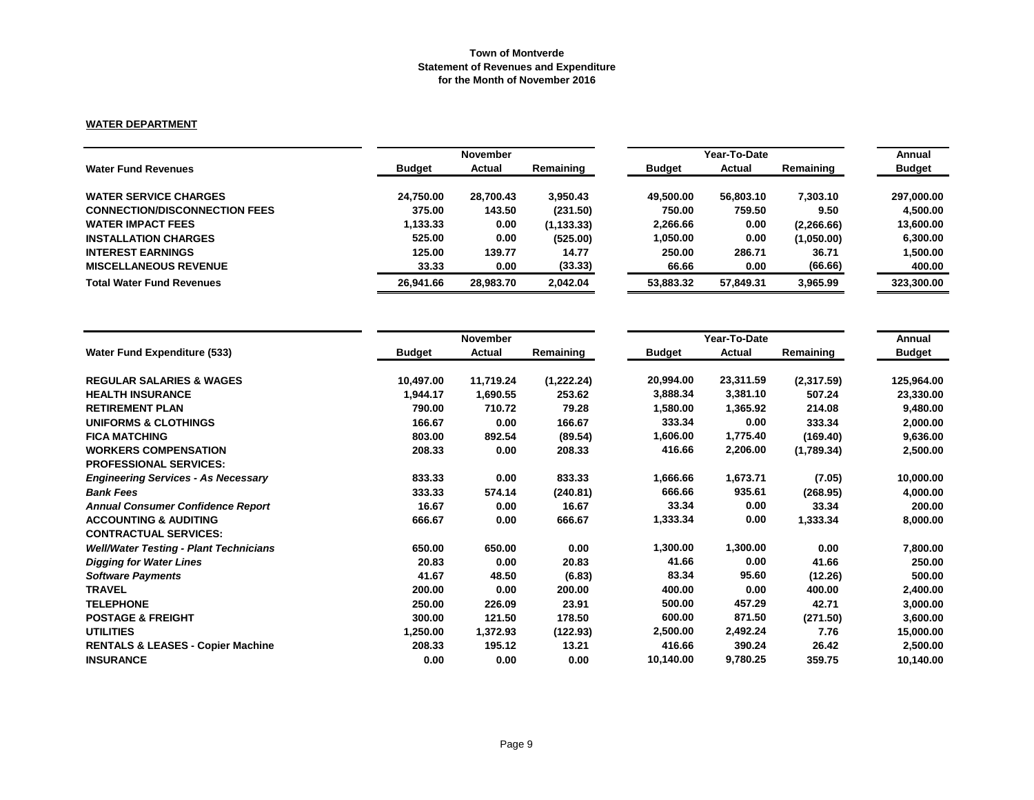# **WATER DEPARTMENT**

|                                      |               | <b>November</b> |             |               | Year-To-Date  |            |               |  |
|--------------------------------------|---------------|-----------------|-------------|---------------|---------------|------------|---------------|--|
| <b>Water Fund Revenues</b>           | <b>Budget</b> | Actual          | Remaining   | <b>Budget</b> | <b>Actual</b> | Remaining  | <b>Budget</b> |  |
| <b>WATER SERVICE CHARGES</b>         | 24.750.00     | 28,700.43       | 3,950.43    | 49.500.00     | 56.803.10     | 7.303.10   | 297,000.00    |  |
| <b>CONNECTION/DISCONNECTION FEES</b> | 375.00        | 143.50          | (231.50)    | 750.00        | 759.50        | 9.50       | 4.500.00      |  |
| <b>WATER IMPACT FEES</b>             | 1,133.33      | 0.00            | (1, 133.33) | 2,266.66      | 0.00          | (2,266.66) | 13,600.00     |  |
| <b>INSTALLATION CHARGES</b>          | 525.00        | 0.00            | (525.00)    | 1.050.00      | 0.00          | (1,050.00) | 6.300.00      |  |
| <b>INTEREST EARNINGS</b>             | 125.00        | 139.77          | 14.77       | 250.00        | 286.71        | 36.71      | 1,500.00      |  |
| <b>MISCELLANEOUS REVENUE</b>         | 33.33         | 0.00            | (33.33)     | 66.66         | 0.00          | (66.66)    | 400.00        |  |
| <b>Total Water Fund Revenues</b>     | 26.941.66     | 28.983.70       | 2,042.04    | 53,883,32     | 57.849.31     | 3,965.99   | 323,300.00    |  |

|                                               |               | November  |            |               | Year-To-Date |            |               |  |
|-----------------------------------------------|---------------|-----------|------------|---------------|--------------|------------|---------------|--|
| <b>Water Fund Expenditure (533)</b>           | <b>Budget</b> | Actual    | Remaining  | <b>Budget</b> | Actual       | Remaining  | <b>Budget</b> |  |
| <b>REGULAR SALARIES &amp; WAGES</b>           | 10,497.00     | 11,719.24 | (1,222.24) | 20,994.00     | 23,311.59    | (2,317.59) | 125,964.00    |  |
| <b>HEALTH INSURANCE</b>                       | 1,944.17      | 1,690.55  | 253.62     | 3,888.34      | 3,381.10     | 507.24     | 23,330.00     |  |
| <b>RETIREMENT PLAN</b>                        | 790.00        | 710.72    | 79.28      | 1,580.00      | 1,365.92     | 214.08     | 9,480.00      |  |
| <b>UNIFORMS &amp; CLOTHINGS</b>               | 166.67        | 0.00      | 166.67     | 333.34        | 0.00         | 333.34     | 2,000.00      |  |
| <b>FICA MATCHING</b>                          | 803.00        | 892.54    | (89.54)    | 1,606.00      | 1,775.40     | (169.40)   | 9,636.00      |  |
| <b>WORKERS COMPENSATION</b>                   | 208.33        | 0.00      | 208.33     | 416.66        | 2,206.00     | (1,789.34) | 2,500.00      |  |
| <b>PROFESSIONAL SERVICES:</b>                 |               |           |            |               |              |            |               |  |
| <b>Engineering Services - As Necessary</b>    | 833.33        | 0.00      | 833.33     | 1,666.66      | 1,673.71     | (7.05)     | 10,000.00     |  |
| <b>Bank Fees</b>                              | 333.33        | 574.14    | (240.81)   | 666.66        | 935.61       | (268.95)   | 4,000.00      |  |
| <b>Annual Consumer Confidence Report</b>      | 16.67         | 0.00      | 16.67      | 33.34         | 0.00         | 33.34      | 200.00        |  |
| <b>ACCOUNTING &amp; AUDITING</b>              | 666.67        | 0.00      | 666.67     | 1,333.34      | 0.00         | 1,333.34   | 8,000.00      |  |
| <b>CONTRACTUAL SERVICES:</b>                  |               |           |            |               |              |            |               |  |
| <b>Well/Water Testing - Plant Technicians</b> | 650.00        | 650.00    | 0.00       | 1,300.00      | 1,300.00     | 0.00       | 7,800.00      |  |
| <b>Digging for Water Lines</b>                | 20.83         | 0.00      | 20.83      | 41.66         | 0.00         | 41.66      | 250.00        |  |
| <b>Software Payments</b>                      | 41.67         | 48.50     | (6.83)     | 83.34         | 95.60        | (12.26)    | 500.00        |  |
| <b>TRAVEL</b>                                 | 200.00        | 0.00      | 200.00     | 400.00        | 0.00         | 400.00     | 2,400.00      |  |
| <b>TELEPHONE</b>                              | 250.00        | 226.09    | 23.91      | 500.00        | 457.29       | 42.71      | 3,000.00      |  |
| <b>POSTAGE &amp; FREIGHT</b>                  | 300.00        | 121.50    | 178.50     | 600.00        | 871.50       | (271.50)   | 3,600.00      |  |
| <b>UTILITIES</b>                              | 1,250.00      | 1,372.93  | (122.93)   | 2,500.00      | 2,492.24     | 7.76       | 15,000.00     |  |
| <b>RENTALS &amp; LEASES - Copier Machine</b>  | 208.33        | 195.12    | 13.21      | 416.66        | 390.24       | 26.42      | 2,500.00      |  |
| <b>INSURANCE</b>                              | 0.00          | 0.00      | 0.00       | 10,140.00     | 9,780.25     | 359.75     | 10,140.00     |  |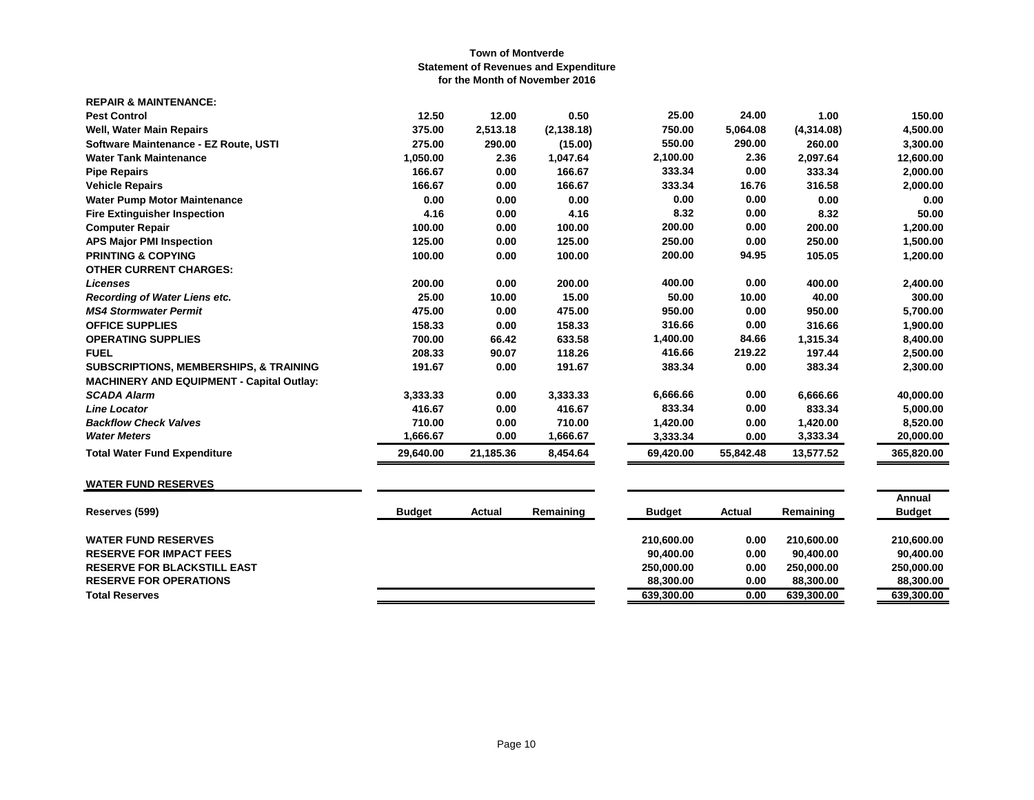| <b>REPAIR &amp; MAINTENANCE:</b>                  |           |           |             |           |           |            |            |
|---------------------------------------------------|-----------|-----------|-------------|-----------|-----------|------------|------------|
| <b>Pest Control</b>                               | 12.50     | 12.00     | 0.50        | 25.00     | 24.00     | 1.00       | 150.00     |
| Well, Water Main Repairs                          | 375.00    | 2,513.18  | (2, 138.18) | 750.00    | 5,064.08  | (4,314.08) | 4,500.00   |
| Software Maintenance - EZ Route, USTI             | 275.00    | 290.00    | (15.00)     | 550.00    | 290.00    | 260.00     | 3,300.00   |
| <b>Water Tank Maintenance</b>                     | 1,050.00  | 2.36      | 1,047.64    | 2,100.00  | 2.36      | 2,097.64   | 12,600.00  |
| <b>Pipe Repairs</b>                               | 166.67    | 0.00      | 166.67      | 333.34    | 0.00      | 333.34     | 2,000.00   |
| <b>Vehicle Repairs</b>                            | 166.67    | 0.00      | 166.67      | 333.34    | 16.76     | 316.58     | 2,000.00   |
| <b>Water Pump Motor Maintenance</b>               | 0.00      | 0.00      | 0.00        | 0.00      | 0.00      | 0.00       | 0.00       |
| <b>Fire Extinguisher Inspection</b>               | 4.16      | 0.00      | 4.16        | 8.32      | 0.00      | 8.32       | 50.00      |
| <b>Computer Repair</b>                            | 100.00    | 0.00      | 100.00      | 200.00    | 0.00      | 200.00     | 1,200.00   |
| <b>APS Major PMI Inspection</b>                   | 125.00    | 0.00      | 125.00      | 250.00    | 0.00      | 250.00     | 1,500.00   |
| <b>PRINTING &amp; COPYING</b>                     | 100.00    | 0.00      | 100.00      | 200.00    | 94.95     | 105.05     | 1,200.00   |
| <b>OTHER CURRENT CHARGES:</b>                     |           |           |             |           |           |            |            |
| <b>Licenses</b>                                   | 200.00    | 0.00      | 200.00      | 400.00    | 0.00      | 400.00     | 2,400.00   |
| Recording of Water Liens etc.                     | 25.00     | 10.00     | 15.00       | 50.00     | 10.00     | 40.00      | 300.00     |
| <b>MS4 Stormwater Permit</b>                      | 475.00    | 0.00      | 475.00      | 950.00    | 0.00      | 950.00     | 5,700.00   |
| <b>OFFICE SUPPLIES</b>                            | 158.33    | 0.00      | 158.33      | 316.66    | 0.00      | 316.66     | 1,900.00   |
| <b>OPERATING SUPPLIES</b>                         | 700.00    | 66.42     | 633.58      | 1,400.00  | 84.66     | 1,315.34   | 8,400.00   |
| <b>FUEL</b>                                       | 208.33    | 90.07     | 118.26      | 416.66    | 219.22    | 197.44     | 2,500.00   |
| <b>SUBSCRIPTIONS, MEMBERSHIPS, &amp; TRAINING</b> | 191.67    | 0.00      | 191.67      | 383.34    | 0.00      | 383.34     | 2,300.00   |
| <b>MACHINERY AND EQUIPMENT - Capital Outlay:</b>  |           |           |             |           |           |            |            |
| <b>SCADA Alarm</b>                                | 3,333.33  | 0.00      | 3,333.33    | 6,666.66  | 0.00      | 6,666.66   | 40,000.00  |
| <b>Line Locator</b>                               | 416.67    | 0.00      | 416.67      | 833.34    | 0.00      | 833.34     | 5,000.00   |
| <b>Backflow Check Valves</b>                      | 710.00    | 0.00      | 710.00      | 1,420.00  | 0.00      | 1,420.00   | 8,520.00   |
| <b>Water Meters</b>                               | 1,666.67  | 0.00      | 1,666.67    | 3,333.34  | 0.00      | 3,333.34   | 20,000.00  |
| <b>Total Water Fund Expenditure</b>               | 29,640.00 | 21,185.36 | 8,454.64    | 69,420.00 | 55,842.48 | 13,577.52  | 365,820.00 |
|                                                   |           |           |             |           |           |            |            |

# **WATER FUND RESERVES**

| Reserves (599)                     | <b>Budget</b> | Actual | Remaining | <b>Budget</b> | Actual | Remaining  | Annual<br><b>Budget</b> |
|------------------------------------|---------------|--------|-----------|---------------|--------|------------|-------------------------|
| <b>WATER FUND RESERVES</b>         |               |        |           | 210.600.00    | 0.00   | 210.600.00 | 210.600.00              |
| <b>RESERVE FOR IMPACT FEES</b>     |               |        |           | 90.400.00     | 0.00   | 90.400.00  | 90.400.00               |
| <b>RESERVE FOR BLACKSTILL EAST</b> |               |        |           | 250.000.00    | 0.00   | 250.000.00 | 250.000.00              |
| <b>RESERVE FOR OPERATIONS</b>      |               |        |           | 88.300.00     | 0.00   | 88,300,00  | 88,300,00               |
| <b>Total Reserves</b>              |               |        |           | 639,300.00    | 0.00   | 639,300.00 | 639,300.00              |